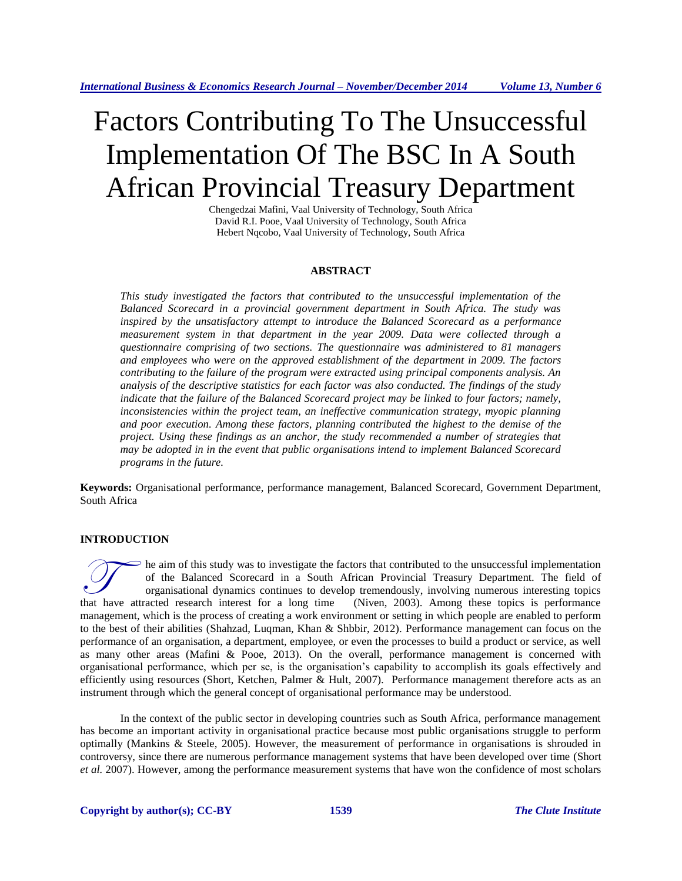# Factors Contributing To The Unsuccessful Implementation Of The BSC In A South African Provincial Treasury Department

Chengedzai Mafini, Vaal University of Technology, South Africa David R.I. Pooe, Vaal University of Technology, South Africa Hebert Nqcobo, Vaal University of Technology, South Africa

## **ABSTRACT**

*This study investigated the factors that contributed to the unsuccessful implementation of the Balanced Scorecard in a provincial government department in South Africa. The study was inspired by the unsatisfactory attempt to introduce the Balanced Scorecard as a performance measurement system in that department in the year 2009. Data were collected through a questionnaire comprising of two sections. The questionnaire was administered to 81 managers and employees who were on the approved establishment of the department in 2009. The factors contributing to the failure of the program were extracted using principal components analysis. An analysis of the descriptive statistics for each factor was also conducted. The findings of the study indicate that the failure of the Balanced Scorecard project may be linked to four factors; namely, inconsistencies within the project team, an ineffective communication strategy, myopic planning and poor execution. Among these factors, planning contributed the highest to the demise of the project. Using these findings as an anchor, the study recommended a number of strategies that may be adopted in in the event that public organisations intend to implement Balanced Scorecard programs in the future.* 

**Keywords:** Organisational performance, performance management, Balanced Scorecard, Government Department, South Africa

# **INTRODUCTION**

he aim of this study was to investigate the factors that contributed to the unsuccessful implementation of the Balanced Scorecard in a South African Provincial Treasury Department. The field of organisational dynamics continues to develop tremendously, involving numerous interesting topics (Niven, 2003). Among these topics is performance management, which is the process of creating a work environment or setting in which people are enabled to perform to the best of their abilities (Shahzad, Luqman, Khan & Shbbir, 2012). Performance management can focus on the performance of an organisation, a department, employee, or even the processes to build a product or service, as well as many other areas (Mafini & Pooe, 2013). On the overall, performance management is concerned with organisational performance, which per se, is the organisation's capability to accomplish its goals effectively and efficiently using resources (Short, Ketchen, Palmer & Hult, 2007). Performance management therefore acts as an instrument through which the general concept of organisational performance may be understood. that have attracted research interest for a long time

In the context of the public sector in developing countries such as South Africa, performance management has become an important activity in organisational practice because most public organisations struggle to perform optimally (Mankins & Steele, 2005). However, the measurement of performance in organisations is shrouded in controversy, since there are numerous performance management systems that have been developed over time (Short *et al.* 2007). However, among the performance measurement systems that have won the confidence of most scholars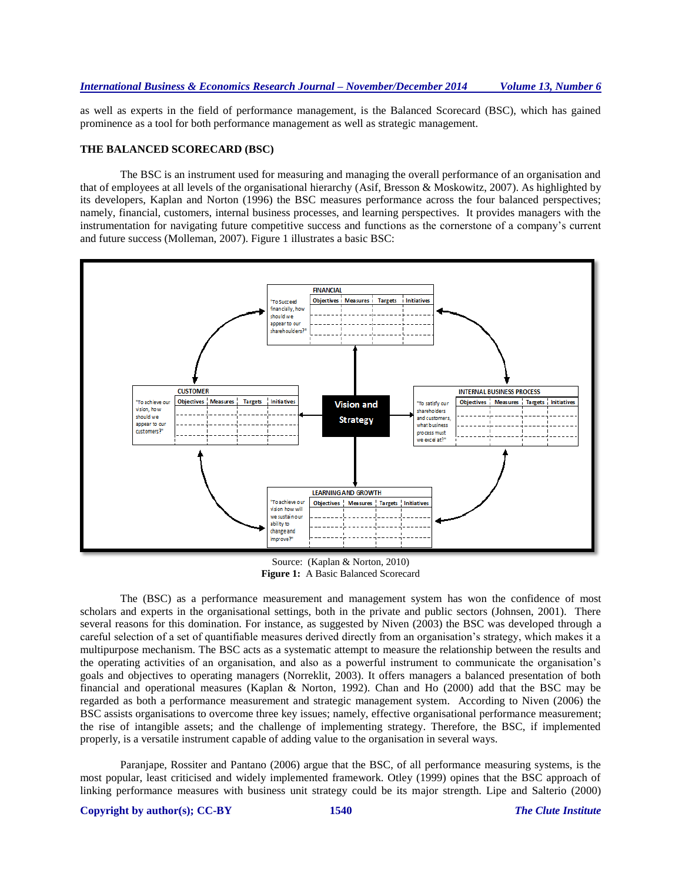as well as experts in the field of performance management, is the Balanced Scorecard (BSC), which has gained prominence as a tool for both performance management as well as strategic management.

#### **THE BALANCED SCORECARD (BSC)**

The BSC is an instrument used for measuring and managing the overall performance of an organisation and that of employees at all levels of the organisational hierarchy (Asif, Bresson & Moskowitz, 2007). As highlighted by its developers, Kaplan and Norton (1996) the BSC measures performance across the four balanced perspectives; namely, financial, customers, internal business processes, and learning perspectives. It provides managers with the instrumentation for navigating future competitive success and functions as the cornerstone of a company's current and future success (Molleman, 2007). Figure 1 illustrates a basic BSC:



Source: (Kaplan & Norton, 2010) **Figure 1:** A Basic Balanced Scorecard

The (BSC) as a performance measurement and management system has won the confidence of most scholars and experts in the organisational settings, both in the private and public sectors (Johnsen, 2001). There several reasons for this domination. For instance, as suggested by Niven (2003) the BSC was developed through a careful selection of a set of quantifiable measures derived directly from an organisation's strategy, which makes it a multipurpose mechanism. The BSC acts as a systematic attempt to measure the relationship between the results and the operating activities of an organisation, and also as a powerful instrument to communicate the organisation's goals and objectives to operating managers (Norreklit, 2003). It offers managers a balanced presentation of both financial and operational measures (Kaplan & Norton, 1992). Chan and Ho (2000) add that the BSC may be regarded as both a performance measurement and strategic management system. According to Niven (2006) the BSC assists organisations to overcome three key issues; namely, effective organisational performance measurement; the rise of intangible assets; and the challenge of implementing strategy. Therefore, the BSC, if implemented properly, is a versatile instrument capable of adding value to the organisation in several ways.

Paranjape, Rossiter and Pantano (2006) argue that the BSC, of all performance measuring systems, is the most popular, least criticised and widely implemented framework. Otley (1999) opines that the BSC approach of linking performance measures with business unit strategy could be its major strength. Lipe and Salterio (2000)

## **Copyright by author(s); CC-BY 1540** *The Clute Institute*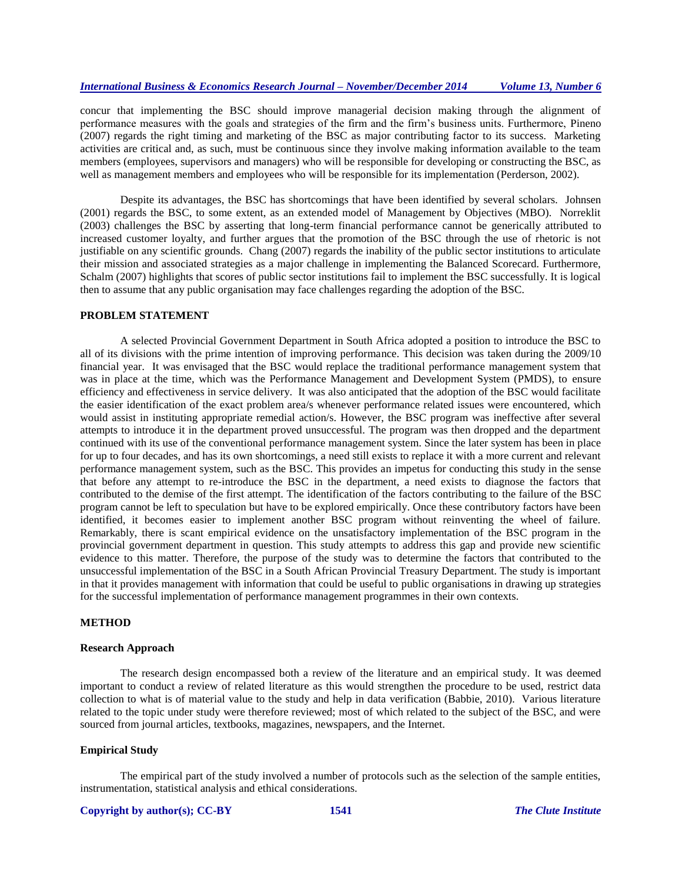concur that implementing the BSC should improve managerial decision making through the alignment of performance measures with the goals and strategies of the firm and the firm's business units. Furthermore, Pineno (2007) regards the right timing and marketing of the BSC as major contributing factor to its success. Marketing activities are critical and, as such, must be continuous since they involve making information available to the team members (employees, supervisors and managers) who will be responsible for developing or constructing the BSC, as well as management members and employees who will be responsible for its implementation (Perderson, 2002).

Despite its advantages, the BSC has shortcomings that have been identified by several scholars. Johnsen (2001) regards the BSC, to some extent, as an extended model of Management by Objectives (MBO). Norreklit (2003) challenges the BSC by asserting that long-term financial performance cannot be generically attributed to increased customer loyalty, and further argues that the promotion of the BSC through the use of rhetoric is not justifiable on any scientific grounds. Chang (2007) regards the inability of the public sector institutions to articulate their mission and associated strategies as a major challenge in implementing the Balanced Scorecard. Furthermore, Schalm (2007) highlights that scores of public sector institutions fail to implement the BSC successfully. It is logical then to assume that any public organisation may face challenges regarding the adoption of the BSC.

#### **PROBLEM STATEMENT**

A selected Provincial Government Department in South Africa adopted a position to introduce the BSC to all of its divisions with the prime intention of improving performance. This decision was taken during the 2009/10 financial year. It was envisaged that the BSC would replace the traditional performance management system that was in place at the time, which was the Performance Management and Development System (PMDS), to ensure efficiency and effectiveness in service delivery. It was also anticipated that the adoption of the BSC would facilitate the easier identification of the exact problem area/s whenever performance related issues were encountered, which would assist in instituting appropriate remedial action/s. However, the BSC program was ineffective after several attempts to introduce it in the department proved unsuccessful. The program was then dropped and the department continued with its use of the conventional performance management system. Since the later system has been in place for up to four decades, and has its own shortcomings, a need still exists to replace it with a more current and relevant performance management system, such as the BSC. This provides an impetus for conducting this study in the sense that before any attempt to re-introduce the BSC in the department, a need exists to diagnose the factors that contributed to the demise of the first attempt. The identification of the factors contributing to the failure of the BSC program cannot be left to speculation but have to be explored empirically. Once these contributory factors have been identified, it becomes easier to implement another BSC program without reinventing the wheel of failure. Remarkably, there is scant empirical evidence on the unsatisfactory implementation of the BSC program in the provincial government department in question. This study attempts to address this gap and provide new scientific evidence to this matter. Therefore, the purpose of the study was to determine the factors that contributed to the unsuccessful implementation of the BSC in a South African Provincial Treasury Department. The study is important in that it provides management with information that could be useful to public organisations in drawing up strategies for the successful implementation of performance management programmes in their own contexts.

#### **METHOD**

#### **Research Approach**

The research design encompassed both a review of the literature and an empirical study. It was deemed important to conduct a review of related literature as this would strengthen the procedure to be used, restrict data collection to what is of material value to the study and help in data verification (Babbie, 2010). Various literature related to the topic under study were therefore reviewed; most of which related to the subject of the BSC, and were sourced from journal articles, textbooks, magazines, newspapers, and the Internet.

#### **Empirical Study**

The empirical part of the study involved a number of protocols such as the selection of the sample entities, instrumentation, statistical analysis and ethical considerations.

# **Copyright by author(s); CC-BY 1541** *The Clute Institute*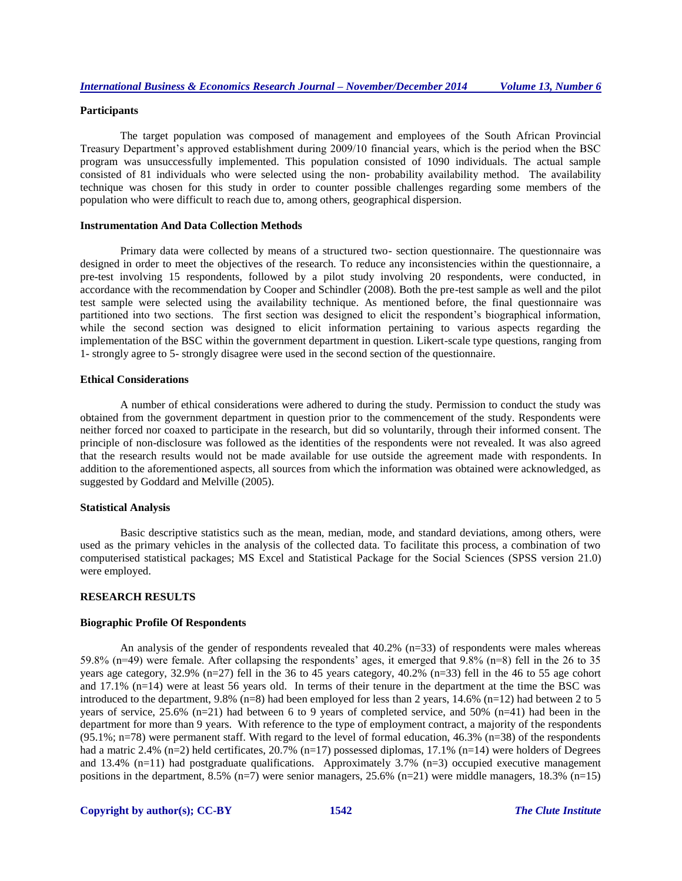# **Participants**

The target population was composed of management and employees of the South African Provincial Treasury Department's approved establishment during 2009/10 financial years, which is the period when the BSC program was unsuccessfully implemented. This population consisted of 1090 individuals. The actual sample consisted of 81 individuals who were selected using the non- probability availability method. The availability technique was chosen for this study in order to counter possible challenges regarding some members of the population who were difficult to reach due to, among others, geographical dispersion.

#### **Instrumentation And Data Collection Methods**

Primary data were collected by means of a structured two- section questionnaire. The questionnaire was designed in order to meet the objectives of the research. To reduce any inconsistencies within the questionnaire, a pre-test involving 15 respondents, followed by a pilot study involving 20 respondents, were conducted, in accordance with the recommendation by Cooper and Schindler (2008). Both the pre-test sample as well and the pilot test sample were selected using the availability technique. As mentioned before, the final questionnaire was partitioned into two sections. The first section was designed to elicit the respondent's biographical information, while the second section was designed to elicit information pertaining to various aspects regarding the implementation of the BSC within the government department in question. Likert-scale type questions, ranging from 1- strongly agree to 5- strongly disagree were used in the second section of the questionnaire.

# **Ethical Considerations**

A number of ethical considerations were adhered to during the study. Permission to conduct the study was obtained from the government department in question prior to the commencement of the study. Respondents were neither forced nor coaxed to participate in the research, but did so voluntarily, through their informed consent. The principle of non-disclosure was followed as the identities of the respondents were not revealed. It was also agreed that the research results would not be made available for use outside the agreement made with respondents. In addition to the aforementioned aspects, all sources from which the information was obtained were acknowledged, as suggested by Goddard and Melville (2005).

#### **Statistical Analysis**

Basic descriptive statistics such as the mean, median, mode, and standard deviations, among others, were used as the primary vehicles in the analysis of the collected data. To facilitate this process, a combination of two computerised statistical packages; MS Excel and Statistical Package for the Social Sciences (SPSS version 21.0) were employed.

#### **RESEARCH RESULTS**

#### **Biographic Profile Of Respondents**

An analysis of the gender of respondents revealed that 40.2% (n=33) of respondents were males whereas 59.8% (n=49) were female. After collapsing the respondents' ages, it emerged that  $9.8\%$  (n=8) fell in the 26 to 35 years age category, 32.9% (n=27) fell in the 36 to 45 years category, 40.2% (n=33) fell in the 46 to 55 age cohort and 17.1% (n=14) were at least 56 years old. In terms of their tenure in the department at the time the BSC was introduced to the department, 9.8% (n=8) had been employed for less than 2 years, 14.6% (n=12) had between 2 to 5 years of service, 25.6% (n=21) had between 6 to 9 years of completed service, and 50% (n=41) had been in the department for more than 9 years. With reference to the type of employment contract, a majority of the respondents  $(95.1\%; n=78)$  were permanent staff. With regard to the level of formal education, 46.3% (n=38) of the respondents had a matric 2.4% (n=2) held certificates, 20.7% (n=17) possessed diplomas, 17.1% (n=14) were holders of Degrees and 13.4%  $(n=11)$  had postgraduate qualifications. Approximately 3.7%  $(n=3)$  occupied executive management positions in the department, 8.5% (n=7) were senior managers, 25.6% (n=21) were middle managers, 18.3% (n=15)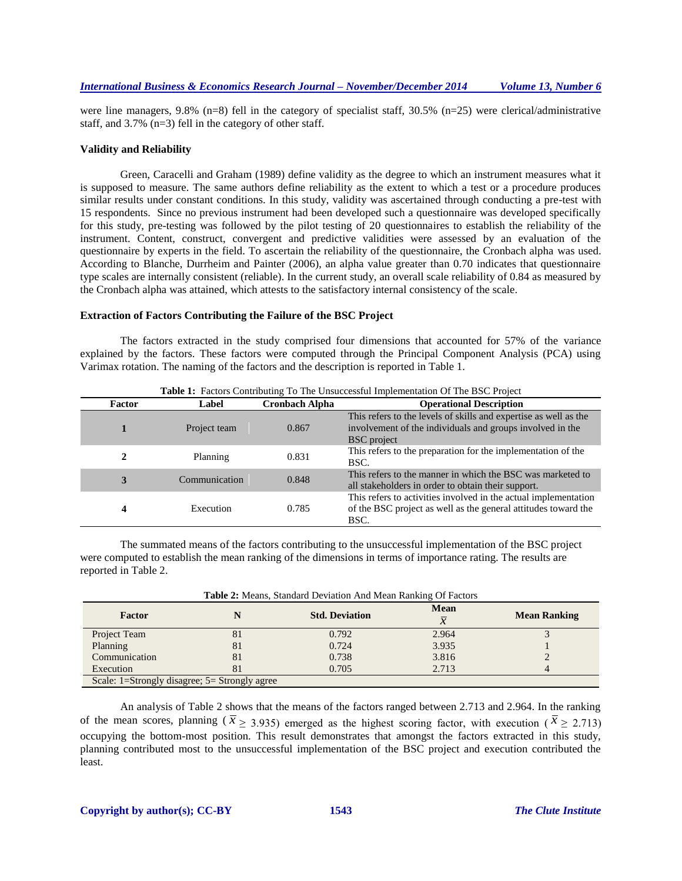were line managers, 9.8% (n=8) fell in the category of specialist staff, 30.5% (n=25) were clerical/administrative staff, and 3.7% (n=3) fell in the category of other staff.

## **Validity and Reliability**

Green, Caracelli and Graham (1989) define validity as the degree to which an instrument measures what it is supposed to measure. The same authors define reliability as the extent to which a test or a procedure produces similar results under constant conditions. In this study, validity was ascertained through conducting a pre-test with 15 respondents. Since no previous instrument had been developed such a questionnaire was developed specifically for this study, pre-testing was followed by the pilot testing of 20 questionnaires to establish the reliability of the instrument. Content, construct, convergent and predictive validities were assessed by an evaluation of the questionnaire by experts in the field. To ascertain the reliability of the questionnaire, the Cronbach alpha was used. According to Blanche, Durrheim and Painter (2006), an alpha value greater than 0.70 indicates that questionnaire type scales are internally consistent (reliable). In the current study, an overall scale reliability of 0.84 as measured by the Cronbach alpha was attained, which attests to the satisfactory internal consistency of the scale.

## **Extraction of Factors Contributing the Failure of the BSC Project**

The factors extracted in the study comprised four dimensions that accounted for 57% of the variance explained by the factors. These factors were computed through the Principal Component Analysis (PCA) using Varimax rotation. The naming of the factors and the description is reported in Table 1.

| Factor | Label         | <b>Cronbach Alpha</b> | <b>Operational Description</b>                                                                                                                      |
|--------|---------------|-----------------------|-----------------------------------------------------------------------------------------------------------------------------------------------------|
|        | Project team  | 0.867                 | This refers to the levels of skills and expertise as well as the<br>involvement of the individuals and groups involved in the<br><b>BSC</b> project |
| 2      | Planning      | 0.831                 | This refers to the preparation for the implementation of the<br>BSC.                                                                                |
| 3      | Communication | 0.848                 | This refers to the manner in which the BSC was marketed to<br>all stakeholders in order to obtain their support.                                    |
| 4      | Execution     | 0.785                 | This refers to activities involved in the actual implementation<br>of the BSC project as well as the general attitudes toward the<br>BSC.           |

**Table 1:** Factors Contributing To The Unsuccessful Implementation Of The BSC Project

The summated means of the factors contributing to the unsuccessful implementation of the BSC project were computed to establish the mean ranking of the dimensions in terms of importance rating. The results are reported in Table 2.

| <b>Table 2:</b> Means, Standard Deviation And Mean Ranking Of Factors |    |                       |                               |                     |  |  |
|-----------------------------------------------------------------------|----|-----------------------|-------------------------------|---------------------|--|--|
| Factor                                                                |    | <b>Std. Deviation</b> | <b>Mean</b><br>$\overline{x}$ | <b>Mean Ranking</b> |  |  |
| Project Team                                                          | 81 | 0.792                 | 2.964                         |                     |  |  |
| Planning                                                              | 81 | 0.724                 | 3.935                         |                     |  |  |
| Communication                                                         | 81 | 0.738                 | 3.816                         |                     |  |  |
| Execution                                                             | 81 | 0.705                 | 2.713                         |                     |  |  |
| Scale: 1=Strongly disagree; 5= Strongly agree                         |    |                       |                               |                     |  |  |

An analysis of Table 2 shows that the means of the factors ranged between 2.713 and 2.964. In the ranking of the mean scores, planning ( $\bar{x}$   $\geq$  3.935) emerged as the highest scoring factor, with execution ( $\bar{x}$   $\geq$  2.713) occupying the bottom-most position. This result demonstrates that amongst the factors extracted in this study, planning contributed most to the unsuccessful implementation of the BSC project and execution contributed the least.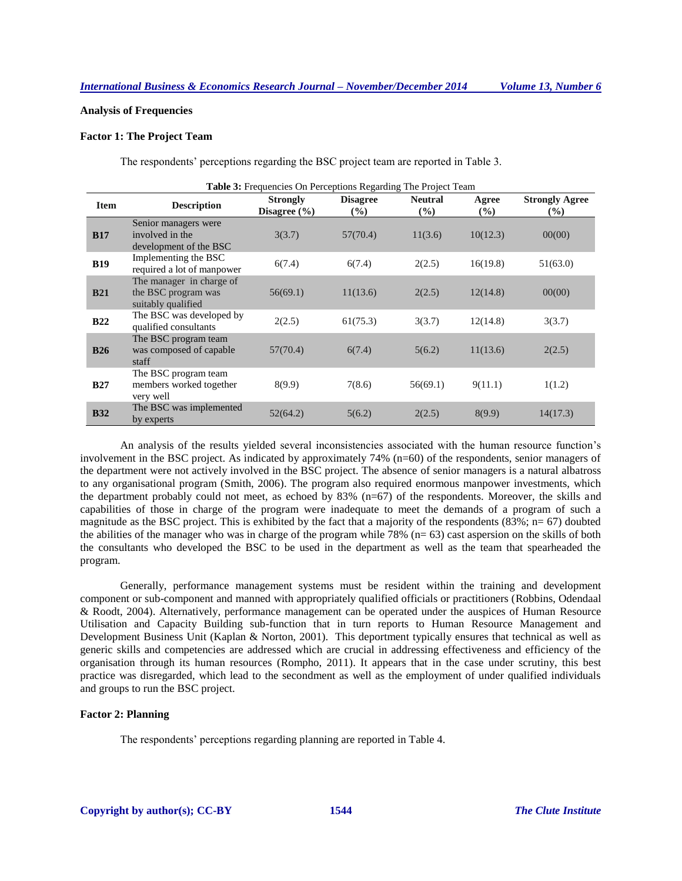# **Analysis of Frequencies**

# **Factor 1: The Project Team**

The respondents' perceptions regarding the BSC project team are reported in Table 3.

| Table 3: Frequencies On Perceptions Regarding The Project Team |                                                                       |                                     |                           |                          |                 |                                        |
|----------------------------------------------------------------|-----------------------------------------------------------------------|-------------------------------------|---------------------------|--------------------------|-----------------|----------------------------------------|
| <b>Item</b>                                                    | <b>Description</b>                                                    | <b>Strongly</b><br>Disagree $(\% )$ | <b>Disagree</b><br>$(\%)$ | <b>Neutral</b><br>$(\%)$ | Agree<br>$(\%)$ | <b>Strongly Agree</b><br>$\frac{6}{2}$ |
| <b>B17</b>                                                     | Senior managers were<br>involved in the<br>development of the BSC     | 3(3.7)                              | 57(70.4)                  | 11(3.6)                  | 10(12.3)        | 00(00)                                 |
| <b>B19</b>                                                     | Implementing the BSC<br>required a lot of manpower                    | 6(7.4)                              | 6(7.4)                    | 2(2.5)                   | 16(19.8)        | 51(63.0)                               |
| <b>B21</b>                                                     | The manager in charge of<br>the BSC program was<br>suitably qualified | 56(69.1)                            | 11(13.6)                  | 2(2.5)                   | 12(14.8)        | 00(00)                                 |
| <b>B22</b>                                                     | The BSC was developed by<br>qualified consultants                     | 2(2.5)                              | 61(75.3)                  | 3(3.7)                   | 12(14.8)        | 3(3.7)                                 |
| <b>B26</b>                                                     | The BSC program team<br>was composed of capable<br>staff              | 57(70.4)                            | 6(7.4)                    | 5(6.2)                   | 11(13.6)        | 2(2.5)                                 |
| <b>B27</b>                                                     | The BSC program team<br>members worked together<br>very well          | 8(9.9)                              | 7(8.6)                    | 56(69.1)                 | 9(11.1)         | 1(1.2)                                 |
| <b>B32</b>                                                     | The BSC was implemented<br>by experts                                 | 52(64.2)                            | 5(6.2)                    | 2(2.5)                   | 8(9.9)          | 14(17.3)                               |

An analysis of the results yielded several inconsistencies associated with the human resource function's involvement in the BSC project. As indicated by approximately 74% (n=60) of the respondents, senior managers of the department were not actively involved in the BSC project. The absence of senior managers is a natural albatross to any organisational program (Smith, 2006). The program also required enormous manpower investments, which the department probably could not meet, as echoed by 83% (n=67) of the respondents. Moreover, the skills and capabilities of those in charge of the program were inadequate to meet the demands of a program of such a magnitude as the BSC project. This is exhibited by the fact that a majority of the respondents  $(83\%; n= 67)$  doubted the abilities of the manager who was in charge of the program while 78% ( $n= 63$ ) cast aspersion on the skills of both the consultants who developed the BSC to be used in the department as well as the team that spearheaded the program.

Generally, performance management systems must be resident within the training and development component or sub-component and manned with appropriately qualified officials or practitioners (Robbins, Odendaal & Roodt, 2004). Alternatively, performance management can be operated under the auspices of Human Resource Utilisation and Capacity Building sub-function that in turn reports to Human Resource Management and Development Business Unit (Kaplan & Norton, 2001). This deportment typically ensures that technical as well as generic skills and competencies are addressed which are crucial in addressing effectiveness and efficiency of the organisation through its human resources (Rompho, 2011). It appears that in the case under scrutiny, this best practice was disregarded, which lead to the secondment as well as the employment of under qualified individuals and groups to run the BSC project.

## **Factor 2: Planning**

The respondents' perceptions regarding planning are reported in Table 4.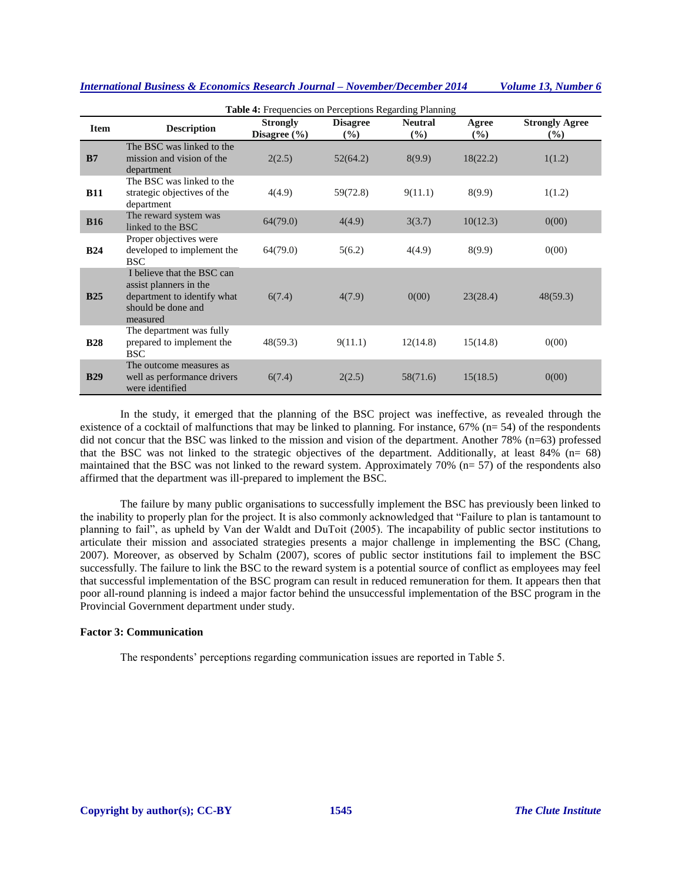| <b>Table 4:</b> Frequencies on Perceptions Regarding Planning |                                                                                                                       |                                     |                                  |                          |              |                              |
|---------------------------------------------------------------|-----------------------------------------------------------------------------------------------------------------------|-------------------------------------|----------------------------------|--------------------------|--------------|------------------------------|
| <b>Item</b>                                                   | <b>Description</b>                                                                                                    | <b>Strongly</b><br>Disagree $(\% )$ | <b>Disagree</b><br>$\frac{6}{2}$ | <b>Neutral</b><br>$($ %) | Agree<br>(%) | <b>Strongly Agree</b><br>(%) |
| B7                                                            | The BSC was linked to the<br>mission and vision of the<br>department                                                  | 2(2.5)                              | 52(64.2)                         | 8(9.9)                   | 18(22.2)     | 1(1.2)                       |
| <b>B11</b>                                                    | The BSC was linked to the<br>strategic objectives of the<br>department                                                | 4(4.9)                              | 59(72.8)                         | 9(11.1)                  | 8(9.9)       | 1(1.2)                       |
| <b>B16</b>                                                    | The reward system was<br>linked to the BSC                                                                            | 64(79.0)                            | 4(4.9)                           | 3(3.7)                   | 10(12.3)     | 0(00)                        |
| <b>B24</b>                                                    | Proper objectives were<br>developed to implement the<br><b>BSC</b>                                                    | 64(79.0)                            | 5(6.2)                           | 4(4.9)                   | 8(9.9)       | 0(00)                        |
| <b>B25</b>                                                    | I believe that the BSC can<br>assist planners in the<br>department to identify what<br>should be done and<br>measured | 6(7.4)                              | 4(7.9)                           | 0(00)                    | 23(28.4)     | 48(59.3)                     |
| <b>B28</b>                                                    | The department was fully<br>prepared to implement the<br><b>BSC</b>                                                   | 48(59.3)                            | 9(11.1)                          | 12(14.8)                 | 15(14.8)     | 0(00)                        |
| <b>B29</b>                                                    | The outcome measures as<br>well as performance drivers<br>were identified                                             | 6(7.4)                              | 2(2.5)                           | 58(71.6)                 | 15(18.5)     | 0(00)                        |

In the study, it emerged that the planning of the BSC project was ineffective, as revealed through the existence of a cocktail of malfunctions that may be linked to planning. For instance,  $67\%$  (n= 54) of the respondents did not concur that the BSC was linked to the mission and vision of the department. Another 78% (n=63) professed that the BSC was not linked to the strategic objectives of the department. Additionally, at least 84% (n= 68) maintained that the BSC was not linked to the reward system. Approximately 70% (n= 57) of the respondents also affirmed that the department was ill-prepared to implement the BSC.

The failure by many public organisations to successfully implement the BSC has previously been linked to the inability to properly plan for the project. It is also commonly acknowledged that "Failure to plan is tantamount to planning to fail", as upheld by Van der Waldt and DuToit (2005). The incapability of public sector institutions to articulate their mission and associated strategies presents a major challenge in implementing the BSC (Chang, 2007). Moreover, as observed by Schalm (2007), scores of public sector institutions fail to implement the BSC successfully. The failure to link the BSC to the reward system is a potential source of conflict as employees may feel that successful implementation of the BSC program can result in reduced remuneration for them. It appears then that poor all-round planning is indeed a major factor behind the unsuccessful implementation of the BSC program in the Provincial Government department under study.

## **Factor 3: Communication**

The respondents' perceptions regarding communication issues are reported in Table 5.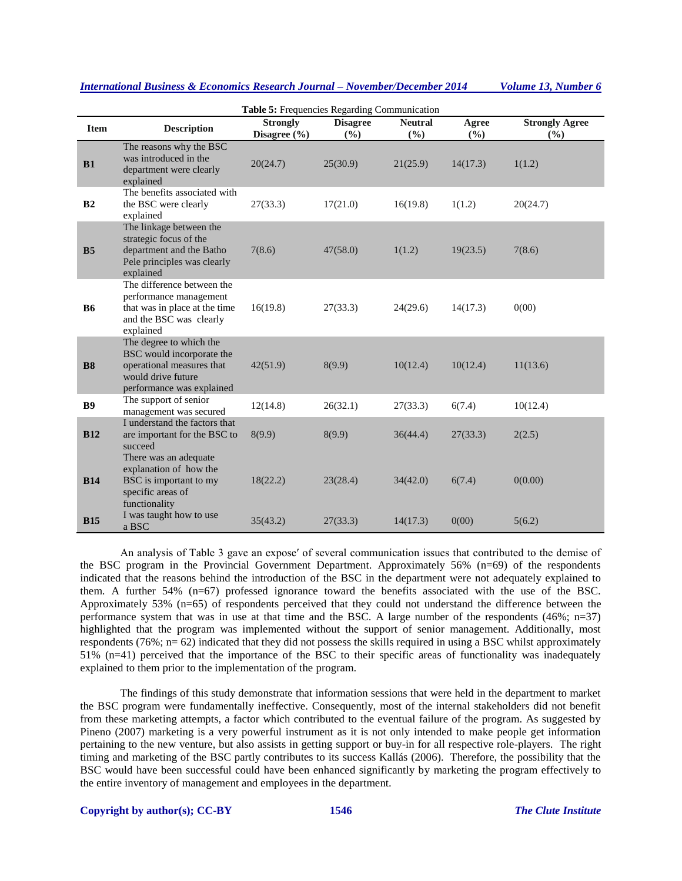| Table 5: Frequencies Regarding Communication |                                                                                                                                      |                                 |                        |                       |              |                                |  |
|----------------------------------------------|--------------------------------------------------------------------------------------------------------------------------------------|---------------------------------|------------------------|-----------------------|--------------|--------------------------------|--|
| <b>Item</b>                                  | <b>Description</b>                                                                                                                   | <b>Strongly</b><br>Disagree (%) | <b>Disagree</b><br>(%) | <b>Neutral</b><br>(%) | Agree<br>(%) | <b>Strongly Agree</b><br>(9/0) |  |
| <b>B1</b>                                    | The reasons why the BSC<br>was introduced in the<br>department were clearly<br>explained                                             | 20(24.7)                        | 25(30.9)               | 21(25.9)              | 14(17.3)     | 1(1.2)                         |  |
| B <sub>2</sub>                               | The benefits associated with<br>the BSC were clearly<br>explained                                                                    | 27(33.3)                        | 17(21.0)               | 16(19.8)              | 1(1.2)       | 20(24.7)                       |  |
| B <sub>5</sub>                               | The linkage between the<br>strategic focus of the<br>department and the Batho<br>Pele principles was clearly<br>explained            | 7(8.6)                          | 47(58.0)               | 1(1.2)                | 19(23.5)     | 7(8.6)                         |  |
| <b>B6</b>                                    | The difference between the<br>performance management<br>that was in place at the time<br>and the BSC was clearly<br>explained        | 16(19.8)                        | 27(33.3)               | 24(29.6)              | 14(17.3)     | 0(00)                          |  |
| <b>B8</b>                                    | The degree to which the<br>BSC would incorporate the<br>operational measures that<br>would drive future<br>performance was explained | 42(51.9)                        | 8(9.9)                 | 10(12.4)              | 10(12.4)     | 11(13.6)                       |  |
| <b>B9</b>                                    | The support of senior<br>management was secured                                                                                      | 12(14.8)                        | 26(32.1)               | 27(33.3)              | 6(7.4)       | 10(12.4)                       |  |
| <b>B12</b>                                   | I understand the factors that<br>are important for the BSC to<br>succeed<br>There was an adequate                                    | 8(9.9)                          | 8(9.9)                 | 36(44.4)              | 27(33.3)     | 2(2.5)                         |  |
| <b>B14</b>                                   | explanation of how the<br>BSC is important to my<br>specific areas of<br>functionality                                               | 18(22.2)                        | 23(28.4)               | 34(42.0)              | 6(7.4)       | 0(0.00)                        |  |
| <b>B15</b>                                   | I was taught how to use<br>a BSC                                                                                                     | 35(43.2)                        | 27(33.3)               | 14(17.3)              | 0(00)        | 5(6.2)                         |  |

An analysis of Table 3 gave an expose′ of several communication issues that contributed to the demise of the BSC program in the Provincial Government Department. Approximately 56% (n=69) of the respondents indicated that the reasons behind the introduction of the BSC in the department were not adequately explained to them. A further 54% (n=67) professed ignorance toward the benefits associated with the use of the BSC. Approximately 53% (n=65) of respondents perceived that they could not understand the difference between the performance system that was in use at that time and the BSC. A large number of the respondents (46%; n=37) highlighted that the program was implemented without the support of senior management. Additionally, most respondents (76%;  $n= 62$ ) indicated that they did not possess the skills required in using a BSC whilst approximately 51% (n=41) perceived that the importance of the BSC to their specific areas of functionality was inadequately explained to them prior to the implementation of the program.

The findings of this study demonstrate that information sessions that were held in the department to market the BSC program were fundamentally ineffective. Consequently, most of the internal stakeholders did not benefit from these marketing attempts, a factor which contributed to the eventual failure of the program. As suggested by Pineno (2007) marketing is a very powerful instrument as it is not only intended to make people get information pertaining to the new venture, but also assists in getting support or buy-in for all respective role-players. The right timing and marketing of the BSC partly contributes to its success Kallás (2006). Therefore, the possibility that the BSC would have been successful could have been enhanced significantly by marketing the program effectively to the entire inventory of management and employees in the department.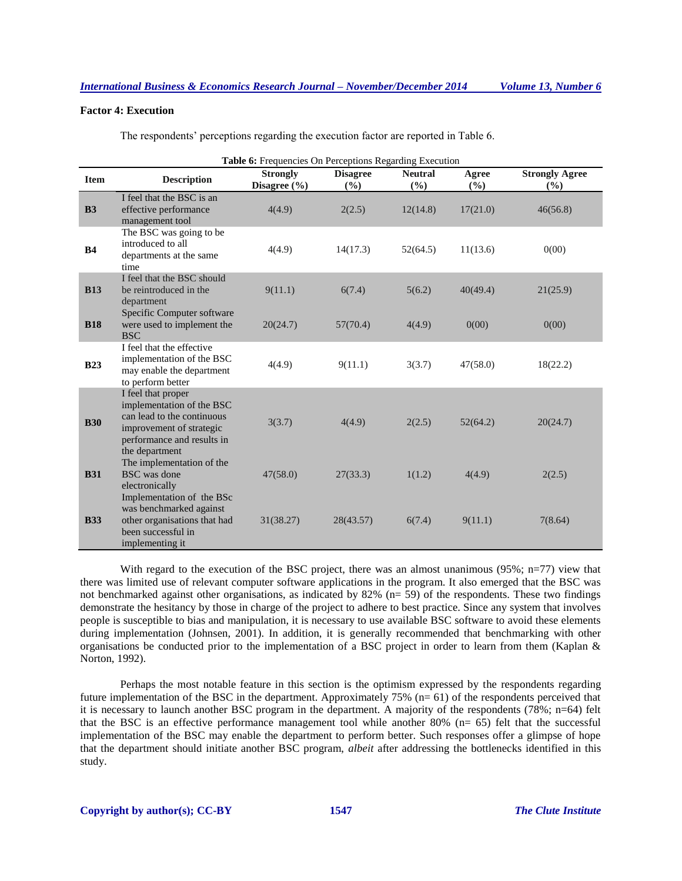# **Factor 4: Execution**

The respondents' perceptions regarding the execution factor are reported in Table 6.

|             | Table 6: Frequencies On Perceptions Regarding Execution                                                                                                   |                                     |                          |                         |                 |                                |  |
|-------------|-----------------------------------------------------------------------------------------------------------------------------------------------------------|-------------------------------------|--------------------------|-------------------------|-----------------|--------------------------------|--|
| <b>Item</b> | <b>Description</b>                                                                                                                                        | <b>Strongly</b><br>Disagree $(\% )$ | <b>Disagree</b><br>(9/0) | <b>Neutral</b><br>(9/0) | Agree<br>$(\%)$ | <b>Strongly Agree</b><br>(9/0) |  |
| B3          | I feel that the BSC is an<br>effective performance<br>management tool                                                                                     | 4(4.9)                              | 2(2.5)                   | 12(14.8)                | 17(21.0)        | 46(56.8)                       |  |
| <b>B4</b>   | The BSC was going to be<br>introduced to all<br>departments at the same<br>time                                                                           | 4(4.9)                              | 14(17.3)                 | 52(64.5)                | 11(13.6)        | 0(00)                          |  |
| <b>B13</b>  | I feel that the BSC should<br>be reintroduced in the<br>department                                                                                        | 9(11.1)                             | 6(7.4)                   | 5(6.2)                  | 40(49.4)        | 21(25.9)                       |  |
| <b>B18</b>  | Specific Computer software<br>were used to implement the<br><b>BSC</b>                                                                                    | 20(24.7)                            | 57(70.4)                 | 4(4.9)                  | 0(00)           | 0(00)                          |  |
| <b>B23</b>  | I feel that the effective<br>implementation of the BSC<br>may enable the department<br>to perform better                                                  | 4(4.9)                              | 9(11.1)                  | 3(3.7)                  | 47(58.0)        | 18(22.2)                       |  |
| <b>B30</b>  | I feel that proper<br>implementation of the BSC<br>can lead to the continuous<br>improvement of strategic<br>performance and results in<br>the department | 3(3.7)                              | 4(4.9)                   | 2(2.5)                  | 52(64.2)        | 20(24.7)                       |  |
| <b>B31</b>  | The implementation of the<br><b>BSC</b> was done<br>electronically<br>Implementation of the BSc                                                           | 47(58.0)                            | 27(33.3)                 | 1(1.2)                  | 4(4.9)          | 2(2.5)                         |  |
| <b>B33</b>  | was benchmarked against<br>other organisations that had<br>been successful in<br>implementing it                                                          | 31(38.27)                           | 28(43.57)                | 6(7.4)                  | 9(11.1)         | 7(8.64)                        |  |

With regard to the execution of the BSC project, there was an almost unanimous (95%; n=77) view that there was limited use of relevant computer software applications in the program. It also emerged that the BSC was not benchmarked against other organisations, as indicated by 82% ( $n=$  59) of the respondents. These two findings demonstrate the hesitancy by those in charge of the project to adhere to best practice. Since any system that involves people is susceptible to bias and manipulation, it is necessary to use available BSC software to avoid these elements during implementation (Johnsen, 2001). In addition, it is generally recommended that benchmarking with other organisations be conducted prior to the implementation of a BSC project in order to learn from them (Kaplan & Norton, 1992).

Perhaps the most notable feature in this section is the optimism expressed by the respondents regarding future implementation of the BSC in the department. Approximately 75% (n= 61) of the respondents perceived that it is necessary to launch another BSC program in the department. A majority of the respondents (78%; n=64) felt that the BSC is an effective performance management tool while another 80% (n= 65) felt that the successful implementation of the BSC may enable the department to perform better. Such responses offer a glimpse of hope that the department should initiate another BSC program, *albeit* after addressing the bottlenecks identified in this study.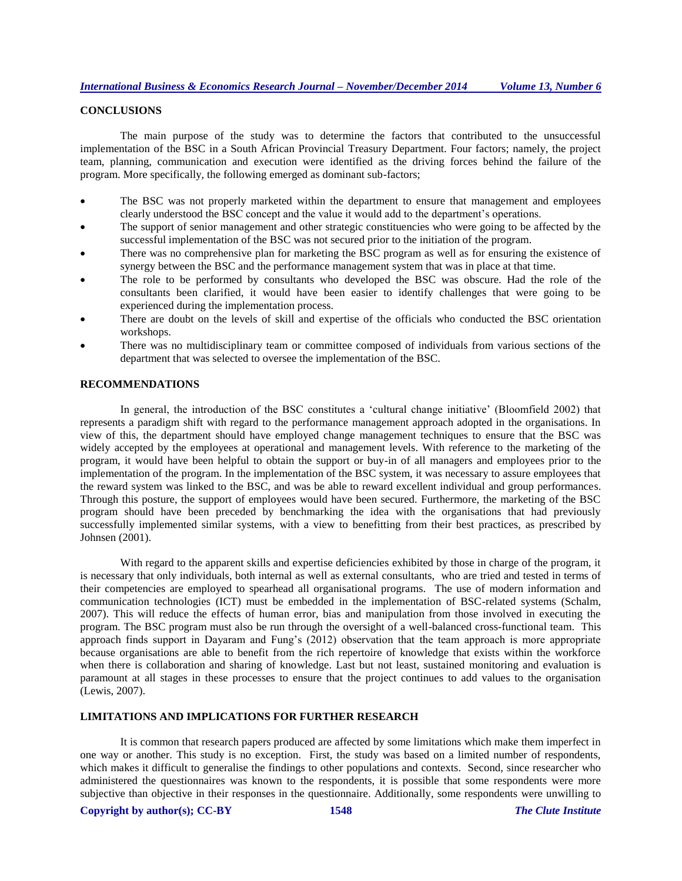# **CONCLUSIONS**

The main purpose of the study was to determine the factors that contributed to the unsuccessful implementation of the BSC in a South African Provincial Treasury Department. Four factors; namely, the project team, planning, communication and execution were identified as the driving forces behind the failure of the program. More specifically, the following emerged as dominant sub-factors;

- The BSC was not properly marketed within the department to ensure that management and employees clearly understood the BSC concept and the value it would add to the department's operations.
- The support of senior management and other strategic constituencies who were going to be affected by the successful implementation of the BSC was not secured prior to the initiation of the program.
- There was no comprehensive plan for marketing the BSC program as well as for ensuring the existence of synergy between the BSC and the performance management system that was in place at that time.
- The role to be performed by consultants who developed the BSC was obscure. Had the role of the consultants been clarified, it would have been easier to identify challenges that were going to be experienced during the implementation process.
- There are doubt on the levels of skill and expertise of the officials who conducted the BSC orientation workshops.
- There was no multidisciplinary team or committee composed of individuals from various sections of the department that was selected to oversee the implementation of the BSC.

# **RECOMMENDATIONS**

In general, the introduction of the BSC constitutes a 'cultural change initiative' (Bloomfield 2002) that represents a paradigm shift with regard to the performance management approach adopted in the organisations. In view of this, the department should have employed change management techniques to ensure that the BSC was widely accepted by the employees at operational and management levels. With reference to the marketing of the program, it would have been helpful to obtain the support or buy-in of all managers and employees prior to the implementation of the program. In the implementation of the BSC system, it was necessary to assure employees that the reward system was linked to the BSC, and was be able to reward excellent individual and group performances. Through this posture, the support of employees would have been secured. Furthermore, the marketing of the BSC program should have been preceded by benchmarking the idea with the organisations that had previously successfully implemented similar systems, with a view to benefitting from their best practices, as prescribed by Johnsen (2001).

With regard to the apparent skills and expertise deficiencies exhibited by those in charge of the program, it is necessary that only individuals, both internal as well as external consultants, who are tried and tested in terms of their competencies are employed to spearhead all organisational programs. The use of modern information and communication technologies (ICT) must be embedded in the implementation of BSC-related systems (Schalm, 2007). This will reduce the effects of human error, bias and manipulation from those involved in executing the program. The BSC program must also be run through the oversight of a well-balanced cross-functional team. This approach finds support in Dayaram and Fung's (2012) observation that the team approach is more appropriate because organisations are able to benefit from the rich repertoire of knowledge that exists within the workforce when there is collaboration and sharing of knowledge. Last but not least, sustained monitoring and evaluation is paramount at all stages in these processes to ensure that the project continues to add values to the organisation (Lewis, 2007).

## **LIMITATIONS AND IMPLICATIONS FOR FURTHER RESEARCH**

It is common that research papers produced are affected by some limitations which make them imperfect in one way or another. This study is no exception. First, the study was based on a limited number of respondents, which makes it difficult to generalise the findings to other populations and contexts. Second, since researcher who administered the questionnaires was known to the respondents, it is possible that some respondents were more subjective than objective in their responses in the questionnaire. Additionally, some respondents were unwilling to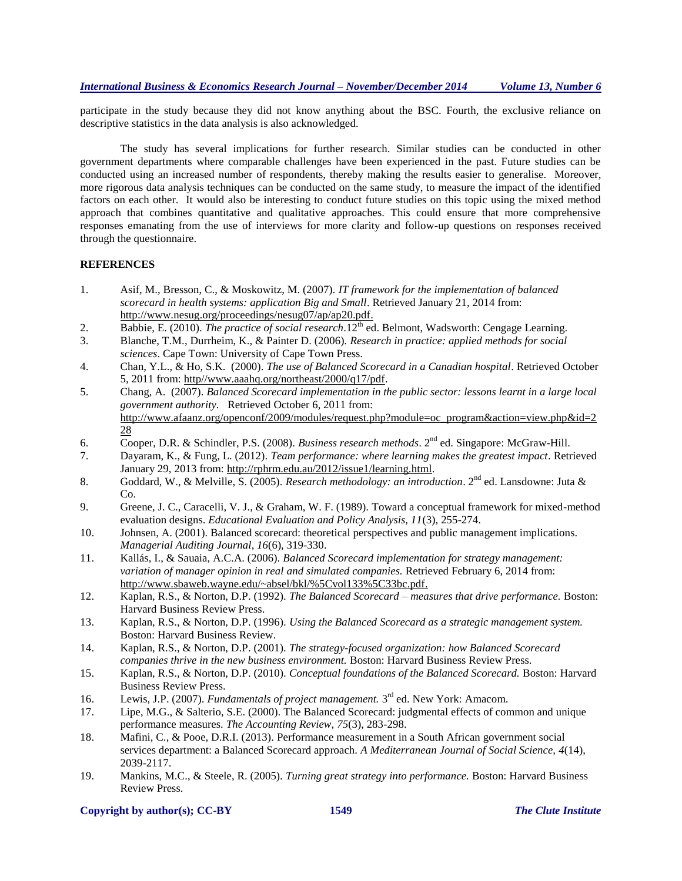participate in the study because they did not know anything about the BSC. Fourth, the exclusive reliance on descriptive statistics in the data analysis is also acknowledged.

The study has several implications for further research. Similar studies can be conducted in other government departments where comparable challenges have been experienced in the past. Future studies can be conducted using an increased number of respondents, thereby making the results easier to generalise. Moreover, more rigorous data analysis techniques can be conducted on the same study, to measure the impact of the identified factors on each other. It would also be interesting to conduct future studies on this topic using the mixed method approach that combines quantitative and qualitative approaches. This could ensure that more comprehensive responses emanating from the use of interviews for more clarity and follow-up questions on responses received through the questionnaire.

# **REFERENCES**

- 1. Asif, M., Bresson, C., & Moskowitz, M. (2007). *IT framework for the implementation of balanced scorecard in health systems: application Big and Small*. Retrieved January 21, 2014 from: [http://www.nesug.org/proceedings/nesug07/ap/ap20.pdf.](http://www.nesug.org/proceedings/nesug07/ap/ap20.pdf)
- 2. Babbie, E. (2010). *The practice of social research*.12<sup>th</sup> ed. Belmont, Wadsworth: Cengage Learning.
- 3. Blanche, T.M., Durrheim, K., & Painter D. (2006). *Research in practice: applied methods for social sciences*. Cape Town: University of Cape Town Press.
- 4. Chan, Y.L., & Ho, S.K. (2000). *The use of Balanced Scorecard in a Canadian hospital*. Retrieved October 5, 2011 from: http//www.aaahq.org/northeast/2000/q17/pdf.
- 5. Chang, A. (2007). *Balanced Scorecard implementation in the public sector: lessons learnt in a large local government authority.* Retrieved October 6, 2011 from: [http://www.afaanz.org/openconf/2009/modules/request.php?module=oc\\_program&action=view.php&id=2](http://www.afaanz.org/openconf/2009/modules/request.php?module=oc_program&action=view.php&id=228) [28](http://www.afaanz.org/openconf/2009/modules/request.php?module=oc_program&action=view.php&id=228)
- 6. Cooper, D.R. & Schindler, P.S. (2008). *Business research methods*. 2nd ed. Singapore: McGraw-Hill.
- 7. Dayaram, K., & Fung, L. (2012). *Team performance: where learning makes the greatest impact*. Retrieved January 29, 2013 from: [http://rphrm.edu.au/2012/issue1/learning.html.](http://rphrm.edu.au/2012/issue1/learning.html)
- 8. Goddard, W., & Melville, S. (2005). *Research methodology: an introduction*. 2nd ed. Lansdowne: Juta & Co.
- 9. Greene, J. C., Caracelli, V. J., & Graham, W. F. (1989). [Toward a conceptual framework for mixed-method](http://www.jstor.org/stable/1163620)  [evaluation designs](http://www.jstor.org/stable/1163620). *Educational Evaluation and Policy Analysis, 11*(3), 255-274.
- 10. Johnsen, A. (2001). Balanced scorecard: theoretical perspectives and public management implications. *Managerial Auditing Journal*, *16*(6), 319-330.
- 11. Kallás, I., & Sauaia, A.C.A. (2006). *Balanced Scorecard implementation for strategy management: variation of manager opinion in real and simulated companies.* Retrieved February 6, 2014 from: [http://www.sbaweb.wayne.edu/~absel/bkl/%5Cvol133%5C33bc.pdf.](http://www.sbaweb.wayne.edu/~absel/bkl/%5Cvol133%5C33bc.pdf)
- 12. Kaplan, R.S., & Norton, D.P. (1992). *The Balanced Scorecard – measures that drive performance.* Boston: Harvard Business Review Press.
- 13. Kaplan, R.S., & Norton, D.P. (1996). *Using the Balanced Scorecard as a strategic management system.* Boston: Harvard Business Review.
- 14. Kaplan, R.S., & Norton, D.P. (2001). *The strategy-focused organization: how Balanced Scorecard companies thrive in the new business environment.* Boston: Harvard Business Review Press.
- 15. Kaplan, R.S., & Norton, D.P. (2010). *Conceptual foundations of the Balanced Scorecard.* Boston: Harvard Business Review Press.
- 16. Lewis, J.P. (2007). *Fundamentals of project management*. 3<sup>rd</sup> ed. New York: Amacom.
- 17. Lipe, M.G., & Salterio, S.E. (2000). The Balanced Scorecard: judgmental effects of common and unique performance measures. *The Accounting Review*, *75*(3), 283-298.
- 18. Mafini, C., & Pooe, D.R.I. (2013). Performance measurement in a South African government social services department: a Balanced Scorecard approach. *A Mediterranean Journal of Social Science, 4*(14), 2039-2117.
- 19. Mankins, M.C., & Steele, R. (2005). *Turning great strategy into performance.* Boston: Harvard Business Review Press.

## **Copyright by author(s); CC-BY 1549** *The Clute Institute*